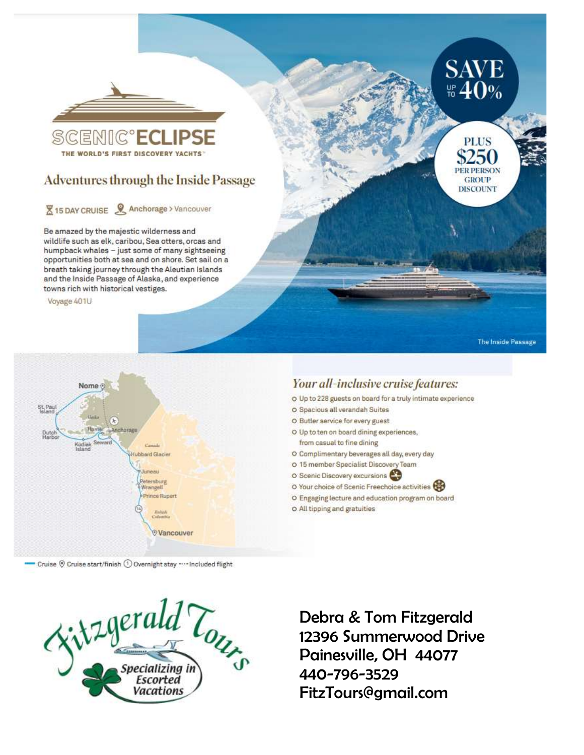

# **Adventures through the Inside Passage**

# **X** 15 DAY CRUISE & Anchorage > Vancouver

Be amazed by the majestic wilderness and wildlife such as elk, caribou, Sea otters, orcas and humpback whales - just some of many sightseeing opportunities both at sea and on shore. Set sail on a breath taking journey through the Aleutian Islands and the Inside Passage of Alaska, and experience towns rich with historical vestiges.

Voyage 401U

St. Paul

Duto<br>Harr

Nome ®

Your all-inclusive cruise features: O Up to 228 guests on board for a truly intimate experience O Spacious all verandah Suites O Butler service for every guest O Up to ten on board dining experiences, from casual to fine dining O Complimentary beverages all day, every day ubbard Glacier O 15 member Specialist Discovery Team

- O Scenic Discovery excursions
- O Your choice of Scenic Freechoice activities

**SAVE** # 40%

**PLUS** 

\$250 **PER PERSON** 

**GROUP DISCOUNT** 

The Inside Passage

- O Engaging lecture and education program on board
- O All tipping and gratuities



Petersburg

**Vancouver** 

Wrangeli Prince Ruper



Debra & Tom Fitzgerald 12396 Summerwood Drive Painesville, OH 44077 440-796-3529 FitzTours@gmail.com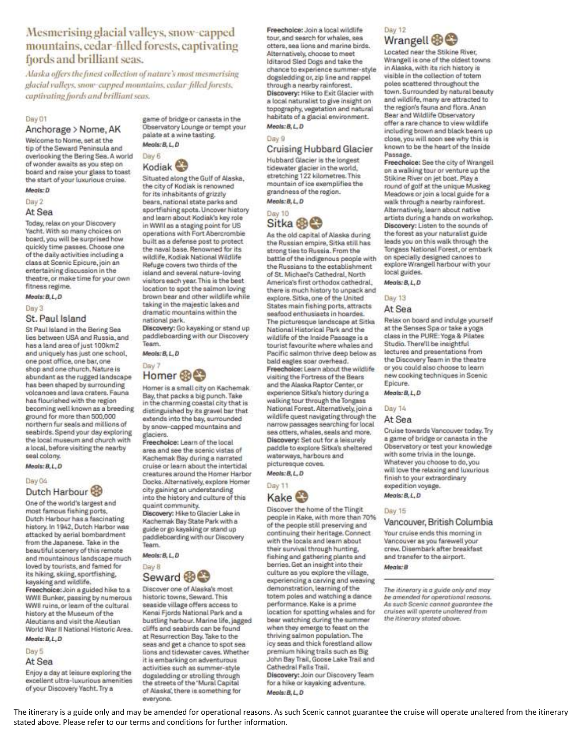# Mesmerising glacial valleys, snow-capped mountains, cedar-filled forests, captivating fjords and brilliant seas.

Alaska offers the finest collection of nature's most mesmerising glacial valleys, snow-cupped mountains, cedar-filled forests, captivating fjords and brilliant seas.

### Day 01

# Anchorage > Nome, AK

Welcome to Nome, set at the tip of the Seward Peninsula and overlooking the Bering Sea. A world of wonder awaits as you step on board and raise your glass to toast the start of your luxurious cruise. Meals: D

## Day 2

### At Sea

Today, relax on your Discovery Yacht. With so many choices on board, you will be surprised how quickly time passes. Choose one of the daily activities including a class at Scenic Epicure, join an entertaining discussion in the theatre, or make time for your own fitness regime.

### Megis:B.L.D

### Day 3

# St. Paul Island

St Paul Island in the Bering Sea lies between USA and Russia, and has a land area of just 100km2 and uniquely has just one school, one post office, one bar, one shop and one church. Nature is abundant as the rugged landscape has been shaped by surrounding volcanoes and lava craters. Fauna has flourished with the region becoming well known as a breeding ground for more than 500,000 northern fur seals and millions of seabirds. Spend your day exploring the local museum and church with a local, before visiting the nearby seal colony.

# Megla: B.L.D

### Day 04

# Dutch Harbour

One of the world's largest and most famous fishing ports, Dutch Harbour has a fascinating history. In 1942, Dutch Harbor was attacked by aerial bombardment from the Japanese. Take in the beautiful scenery of this remote and mountainous landscape much loved by tourists, and famed for its hiking, skiing, sportfishing, kayaking and wildlife.

Freechoice: Join a guided hike to a WWII Bunker, passing by numerous WWII ruins, or learn of the cultural. history at the Museum of the Aleutians and visit the Aleutian World War II National Historic Area. Meals: B, L, D

### Day 5

#### At Sea

Enjoy a day at leisure exploring the excellent ultra-luxurious amenities of your Discovery Yacht. Try a

game of bridge or canasta in the Observatory Lounge or tempt your palate at a wine tasting. Meals: B. L. D.



Situated along the Gulf of Alaska, the city of Kodiak is renowned for its inhabitants of grizzly bears, national state parks and sportfishing spots. Uncover history and learn about Kodiak's key role in WWII as a staging point for US operations with Fort Abercrombie built as a defense post to protect the naval base. Renowned for its wildlife, Kodiak National Wildlife Refuge covers two thirds of the island and several nature-loving visitors each year. This is the best location to spot the salmon loving brown bear and other wildlife while taking in the majestic lakes and dramatic mountains within the national park.

Discovery: Go kayaking or stand up paddleboarding with our Discovery Team.

Meals: B, L, D



Homer is a small city on Kachemak Bay, that packs a big punch. Take in the charming coastal city that is distinguished by its gravel bar that extends into the bay, surrounded by snow-capped mountains and glaciers.

Freechoice: Learn of the local area and see the scenic vistas of Kachemak Bay during a narrated cruise or learn about the intertidal creatures around the Homer Harbor Docks. Alternatively, explore Homer city gaining an understanding into the history and culture of this quaint community.

Discovery: Hike to Glacier Lake in Kachemak Bay State Park with a guide or go kayaking or stand up paddleboarding with our Discovery Team.

Meals: B, L, D



Discover one of Alaska's most historic towns, Seward. This seaside village offers access to Kenai Fjords National Park and a bustling harbour. Marine life, jagged cliffs and seabirds can be found at Resurrection Bay. Take to the seas and get a chance to spot sea lions and tidewater caves. Whether it is embarking on adventurous activities such as summer-style dogsledding or strolling through the streets of the 'Mural Capital of Alaska', there is something for everyone.

Freechoice: Join a local wildlife tour, and search for whales, sea otters, sea lions and marine birds. Alternatively, choose to meet Iditarod Sled Dogs and take the chance to experience summer-style dogsledding or, zip line and rappel through a nearby rainforest. Discovery: Hike to Exit Glacier with a local naturalist to give insight on topography, vegetation and natural habitats of a glacial environment. Meals: B, L, D

### Day 9

**Cruising Hubbard Glacier** Hubbard Glacier is the longest tidewater glacier in the world, stretching 122 kilometres. This mountain of ice exemplifies the grandness of the region. Meals: B.L.D

### Day 10 Sitka ®

As the old capital of Alaska during the Russian empire, Sitka still has strong ties to Russia. From the battle of the indigenous people with the Russians to the establishment of St. Michael's Cathedral, North America's first orthodox cathedral. there is much history to unpack and explore. Sitka, one of the United States main fishing ports, attracts seafood enthusiasts in hoardes. The picturesque landscape at Sitka National Historical Park and the wildlife of the Inside Passage is a tourist favourite where whales and Pacific salmon thrive deep below as bald eagles soar overhead. Freechoice: Learn about the wildlife visiting the Fortress of the Bears and the Alaska Raptor Center, or experience Sitka's history during a walking tour through the Tongass National Forest. Alternatively, join a wildlife quest navigating through the narrow passages searching for local sea otters, whales, seals and more. Discovery: Set out for a leisurely paddle to explore Sitka's sheltered waterways, harbours and picturesque coves.





Discover the home of the Tlingit people in Kake, with more than 70% of the people still preserving and continuing their heritage. Connect with the locals and learn about their survival through hunting. fishing and gathering plants and berries. Get an insight into their culture as you explore the village, experiencing a carving and weaving demonstration, learning of the totem poles and watching a dance performance. Kake is a prime location for spotting whales and for bear watching during the summer when they emerge to feast on the thriving salmon population. The icy seas and thick forestland allow premium hiking trails such as Big John Bay Trail, Goose Lake Trail and Cathedral Falls Trail. Discovery: Join our Discovery Team for a hike or kayaking adventure.  $Meals: B, L, D$ 

## Day 12 Wrangell **OC**

Located near the Stikine River, Wrangell is one of the oldest towns in Alaska, with its rich history is visible in the collection of totem poles scattered throughout the town. Surrounded by natural beauty and wildlife, many are attracted to the region's fauna and flora. Anan Bear and Wildlife Observatory offer a rare chance to view wildlife including brown and black bears up close, you will soon see why this is known to be the heart of the inside Passage.

Freechoice: See the city of Wrangell on a walking tour or venture up the Stikine River on jet boat. Play a round of golf at the unique Muskeg Meadows or join a local guide for a walk through a nearby rainforest. Alternatively, learn about native artists during a hands on workshop. Discovery: Listen to the sounds of the forest as your naturalist guide leads you on this walk through the Tongass National Forest, or embark on specially designed canoes to explore Wrangell harbour with your local guides.

### Megis: B.L.D.

Day 13

#### At Sea

Relax on board and indulge yourself at the Senses Spa or take a yoga class in the PURE: Yoga & Pilates Studio. There'll be insightful lectures and presentations from the Discovery Team in the theatre or you could also choose to learn new cooking techniques in Scenic Epicure.

### Meals: B, L, D

Day 14

# At Sea

Cruise towards Vancouver today. Try a game of bridge or canasta in the Observatory or test your knowledge with some trivia in the lounge. Whatever you choose to do, you will love the relaxing and luxurious finish to your extraordinary expedition voyage.

Megis: B.L.D.

### Day 15

Vancouver, British Columbia

Your cruise ends this morning in Vancouver as you farewell your crew. Disembark after breakfast and transfer to the airport.

Meals: B

The itinerary is a guide only and may be amended for operational reasons. As such Scenic cannot guarantee the cruises will operate unaltered from the itinerary stated above.

The itinerary is a guide only and may be amended for operational reasons. As such Scenic cannot guarantee the cruise will operate unaltered from the itinerary stated above. Please refer to our terms and conditions for further information.

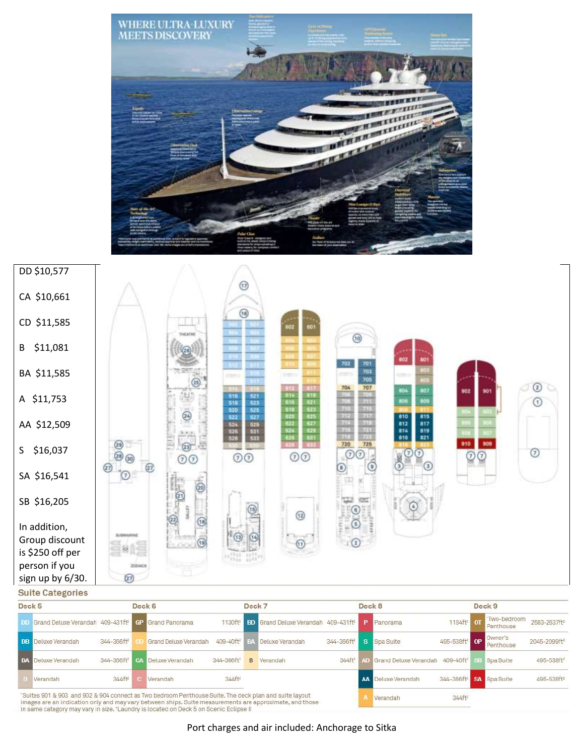



**Suite Categories** 

| Deck 5 |                                                                                                                                                                                                                  |                           | Deck 6                |                        | Deck <sub>7</sub> |                                                        |                        | Deck 8 |                                                             |                                     | Deck 9                    |                          |
|--------|------------------------------------------------------------------------------------------------------------------------------------------------------------------------------------------------------------------|---------------------------|-----------------------|------------------------|-------------------|--------------------------------------------------------|------------------------|--------|-------------------------------------------------------------|-------------------------------------|---------------------------|--------------------------|
|        | <b>D.D.</b> Grand Deluxe Verandah 409-431ft <sup>2</sup> GP Grand Panorama                                                                                                                                       |                           |                       | 1130ft <sup>2</sup>    |                   | <b>BD</b> Grand Deluxe Verandah 409-431ft <sup>2</sup> |                        |        | <b>P</b> Panorama                                           | 1184ft <sup>z</sup> CT              | 'Two-bedroom<br>Penthouse | 2583-2637ft <sup>z</sup> |
|        | <b>DB</b> Deluxe Verandah                                                                                                                                                                                        | 344-366ft <sup>2</sup>    | Grand Deluxe Verandah | 409-40ft <sup>2</sup>  |                   | Deluxe Verandah                                        | 344-366ft <sup>2</sup> | S.     | Spa Suite                                                   | 495-538ft <sup>2</sup> OP           | Owner's<br>Penthouse      | 2045-2099ft <sup>2</sup> |
|        | <b>DA</b> Deluxe Verandah                                                                                                                                                                                        | 344-366ft <sup>2</sup> CA | Deluxe Verandah       | 344-366ft <sup>2</sup> | $\mathbf{R}$      | Verandah                                               | 344ff <sup>2</sup>     |        | AD Grand Deluxe Verandah 409-40ft <sup>2</sup> SB Spa Suite |                                     |                           | 495-538ft <sup>2</sup>   |
|        | Verandah                                                                                                                                                                                                         | $344ff$ <sup>2</sup>      | Verandah              | $344ff$ <sup>2</sup>   |                   |                                                        |                        |        | AA Deluxe Verandah                                          | 344-366ft <sup>2</sup> SA Spa Suite |                           | 495-538ft <sup>2</sup>   |
|        | "Suites 901 & 903 and 902 & 904 connect as Two bedroom Penthouse Suite. The deck plan and suite layout<br>imades are an indication only and may yary between shins. Ruite measurements are annoyimate, and those |                           |                       |                        |                   |                                                        |                        |        | Verandah                                                    | 344ft <sup>2</sup>                  |                           |                          |

in same category may vary in size. Thaundry is located on Deck 5 on Scenic Eclipse II